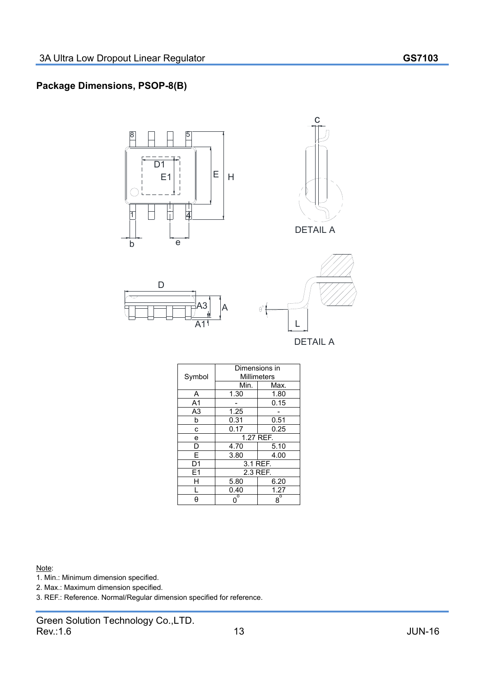## **Package Dimensions, PSOP-8(B)**









DETAIL A

| Symbol         | Dimensions in<br>Millimeters |             |
|----------------|------------------------------|-------------|
|                | Min.                         | Max.        |
| A              | 1.30                         | 1.80        |
| A <sub>1</sub> |                              | 0.15        |
| A3             | 1.25                         |             |
| b              | 0.31                         | 0.51        |
| C              | 0.17                         | 0.25        |
| e              | 1.27 REF.                    |             |
| D              | 4.70                         | 5.10        |
| F              | 3.80                         | 4.00        |
| D1             | 3.1 REF.                     |             |
| F1             | 2.3 REF.                     |             |
|                | 5.80                         | 6.20        |
|                | 0.40                         | 1.27        |
| A              | $0^{\overline{0}}$           | $8^{\circ}$ |

 $\theta^{\circ}$ 

Note:

1. Min.: Minimum dimension specified.

2. Max.: Maximum dimension specified.

3. REF.: Reference. Normal/Regular dimension specified for reference.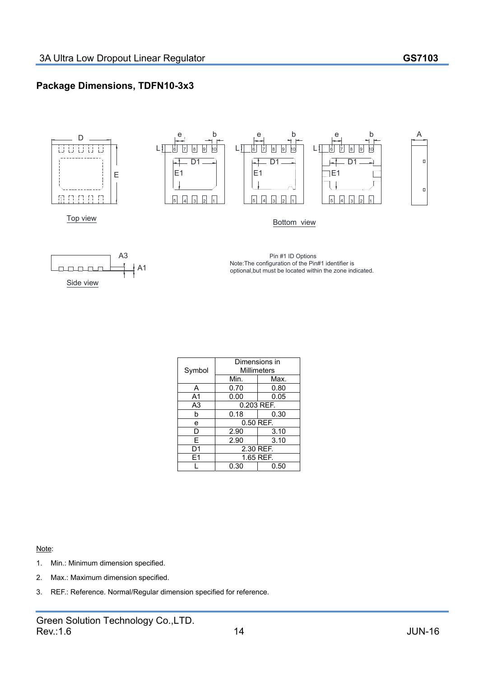## **Package Dimensions, TDFN10-3x3**



- 1. Min.: Minimum dimension specified.
- 2. Max.: Maximum dimension specified.
- 3. REF.: Reference. Normal/Regular dimension specified for reference.